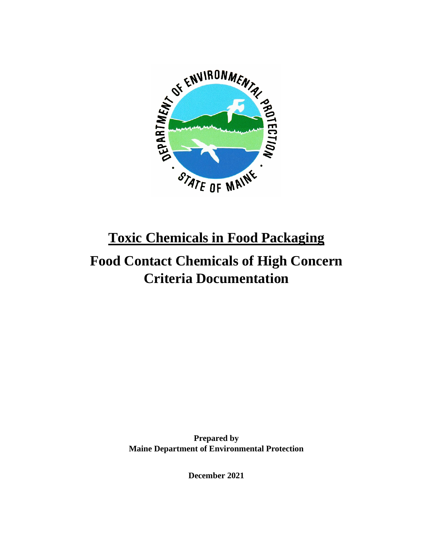

# **Toxic Chemicals in Food Packaging**

# **Food Contact Chemicals of High Concern Criteria Documentation**

**Prepared by Maine Department of Environmental Protection**

**December 2021**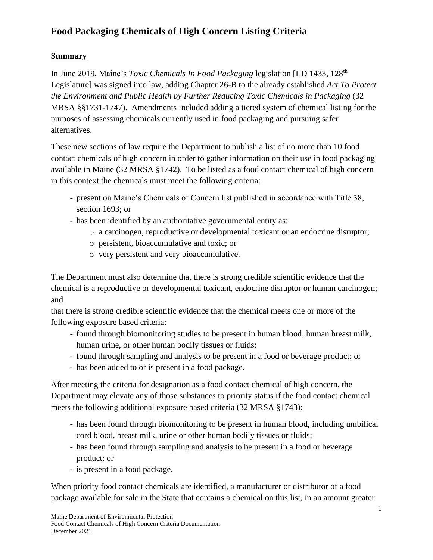#### **Summary**

In June 2019, Maine's *Toxic Chemicals In Food Packaging* legislation [LD 1433, 128th Legislature] was signed into law, adding Chapter 26-B to the already established *Act To Protect the Environment and Public Health by Further Reducing Toxic Chemicals in Packaging* (32 MRSA §§1731-1747). Amendments included adding a tiered system of chemical listing for the purposes of assessing chemicals currently used in food packaging and pursuing safer alternatives.

These new sections of law require the Department to publish a list of no more than 10 food contact chemicals of high concern in order to gather information on their use in food packaging available in Maine (32 MRSA §1742). To be listed as a food contact chemical of high concern in this context the chemicals must meet the following criteria:

- present on Maine's Chemicals of Concern list published in accordance with Title 38, section 1693; or
- has been identified by an authoritative governmental entity as:
	- o a carcinogen, reproductive or developmental toxicant or an endocrine disruptor;
	- o persistent, bioaccumulative and toxic; or
	- o very persistent and very bioaccumulative.

The Department must also determine that there is strong credible scientific evidence that the chemical is a reproductive or developmental toxicant, endocrine disruptor or human carcinogen; and

that there is strong credible scientific evidence that the chemical meets one or more of the following exposure based criteria:

- found through biomonitoring studies to be present in human blood, human breast milk, human urine, or other human bodily tissues or fluids;
- found through sampling and analysis to be present in a food or beverage product; or
- has been added to or is present in a food package.

After meeting the criteria for designation as a food contact chemical of high concern, the Department may elevate any of those substances to priority status if the food contact chemical meets the following additional exposure based criteria (32 MRSA §1743):

- has been found through biomonitoring to be present in human blood, including umbilical cord blood, breast milk, urine or other human bodily tissues or fluids;
- has been found through sampling and analysis to be present in a food or beverage product; or
- is present in a food package.

When priority food contact chemicals are identified, a manufacturer or distributor of a food package available for sale in the State that contains a chemical on this list, in an amount greater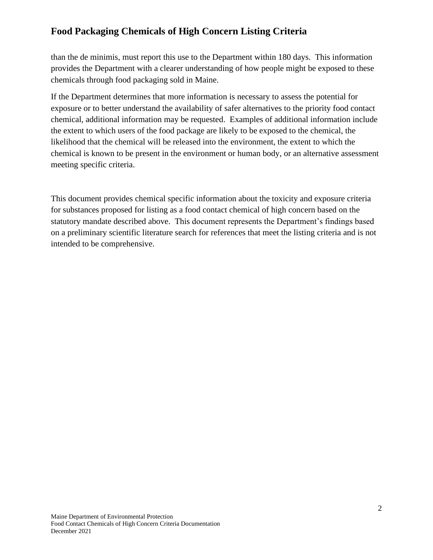than the de minimis, must report this use to the Department within 180 days. This information provides the Department with a clearer understanding of how people might be exposed to these chemicals through food packaging sold in Maine.

If the Department determines that more information is necessary to assess the potential for exposure or to better understand the availability of safer alternatives to the priority food contact chemical, additional information may be requested. Examples of additional information include the extent to which users of the food package are likely to be exposed to the chemical, the likelihood that the chemical will be released into the environment, the extent to which the chemical is known to be present in the environment or human body, or an alternative assessment meeting specific criteria.

This document provides chemical specific information about the toxicity and exposure criteria for substances proposed for listing as a food contact chemical of high concern based on the statutory mandate described above. This document represents the Department's findings based on a preliminary scientific literature search for references that meet the listing criteria and is not intended to be comprehensive.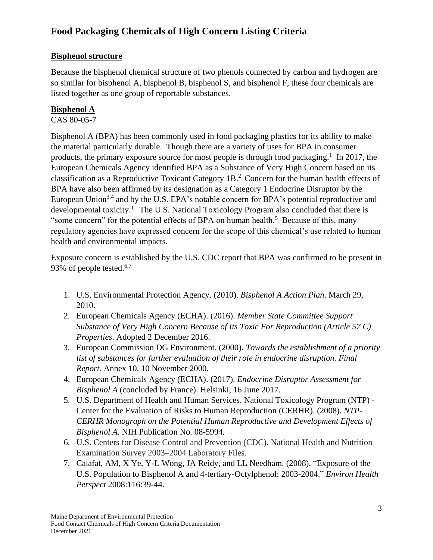### **Bisphenol structure**

Because the bisphenol chemical structure of two phenols connected by carbon and hydrogen are so similar for bisphenol A, bisphenol B, bisphenol S, and bisphenol F, these four chemicals are listed together as one group of reportable substances.

## **Bisphenol A**

#### CAS 80-05-7

Bisphenol A (BPA) has been commonly used in food packaging plastics for its ability to make the material particularly durable. Though there are a variety of uses for BPA in consumer products, the primary exposure source for most people is through food packaging.<sup>1</sup> In 2017, the European Chemicals Agency identified BPA as a Substance of Very High Concern based on its classification as a Reproductive Toxicant Category 1B.<sup>2</sup> Concern for the human health effects of BPA have also been affirmed by its designation as a Category 1 Endocrine Disruptor by the European Union<sup>3,4</sup> and by the U.S. EPA's notable concern for BPA's potential reproductive and developmental toxicity.<sup>1</sup> The U.S. National Toxicology Program also concluded that there is "some concern" for the potential effects of BPA on human health.<sup>5</sup> Because of this, many regulatory agencies have expressed concern for the scope of this chemical's use related to human health and environmental impacts.

Exposure concern is established by the U.S. CDC report that BPA was confirmed to be present in 93% of people tested.<sup>6,7</sup>

- 1. U.S. Environmental Protection Agency. (2010). *Bisphenol A Action Plan*. March 29, 2010.
- 2. European Chemicals Agency (ECHA). (2016). *Member State Committee Support Substance of Very High Concern Because of Its Toxic For Reproduction (Article 57 C) Properties*. Adopted 2 December 2016.
- 3. European Commission DG Environment. (2000). *Towards the establishment of a priority*  list of substances for further evaluation of their role in endocrine disruption. Final *Report.* Annex 10. 10 November 2000.
- 4. European Chemicals Agency (ECHA). (2017). *Endocrine Disruptor Assessment for Bisphenol A* (concluded by France). Helsinki, 16 June 2017.
- 5. U.S. Department of Health and Human Services. National Toxicology Program (NTP) Center for the Evaluation of Risks to Human Reproduction (CERHR). (2008). *NTP-CERHR Monograph on the Potential Human Reproductive and Development Effects of Bisphenol A.* NIH Publication No. 08-5994.
- 6. U.S. Centers for Disease Control and Prevention (CDC). National Health and Nutrition Examination Survey 2003–2004 Laboratory Files.
- 7. Calafat, AM, X Ye, Y-L Wong, JA Reidy, and LL Needham. (2008). "Exposure of the U.S. Population to Bisphenol A and 4-tertiary-Octylphenol: 2003-2004." *Environ Health Perspect* 2008:116:39-44.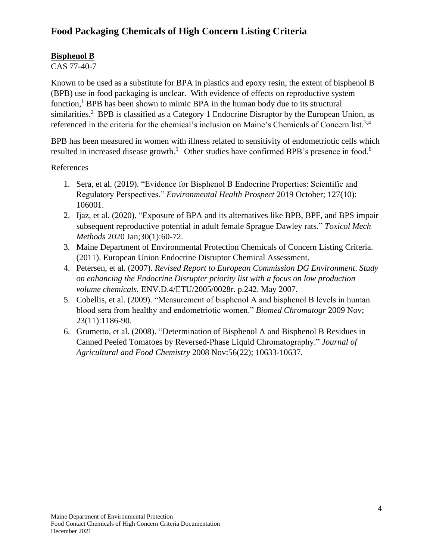#### **Bisphenol B**

CAS 77-40-7

Known to be used as a substitute for BPA in plastics and epoxy resin, the extent of bisphenol B (BPB) use in food packaging is unclear. With evidence of effects on reproductive system function,<sup>1</sup> BPB has been shown to mimic BPA in the human body due to its structural similarities.<sup>2</sup> BPB is classified as a Category 1 Endocrine Disruptor by the European Union, as referenced in the criteria for the chemical's inclusion on Maine's Chemicals of Concern list.<sup>3,4</sup>

BPB has been measured in women with illness related to sensitivity of endometriotic cells which resulted in increased disease growth.<sup>5</sup> Other studies have confirmed BPB's presence in food.<sup>6</sup>

References

- 1. Sera, et al. (2019). "Evidence for Bisphenol B Endocrine Properties: Scientific and Regulatory Perspectives." *Environmental Health Prospect* 2019 October; 127(10): 106001.
- 2. Ijaz, et al. (2020). "Exposure of BPA and its alternatives like BPB, BPF, and BPS impair subsequent reproductive potential in adult female Sprague Dawley rats." *Toxicol Mech Methods* 2020 Jan;30(1):60-72.
- 3. Maine Department of Environmental Protection Chemicals of Concern Listing Criteria. (2011). European Union Endocrine Disruptor Chemical Assessment.
- 4. Petersen, et al. (2007). *Revised Report to European Commission DG Environment*. *Study on enhancing the Endocrine Disrupter priority list with a focus on low production volume chemicals.* ENV.D.4/ETU/2005/0028r. p.242. May 2007.
- 5. Cobellis, et al. (2009). "Measurement of bisphenol A and bisphenol B levels in human blood sera from healthy and endometriotic women." *Biomed Chromatogr* 2009 Nov; 23(11):1186-90.
- 6. Grumetto, et al. (2008). "Determination of Bisphenol A and Bisphenol B Residues in Canned Peeled Tomatoes by Reversed-Phase Liquid Chromatography." *Journal of Agricultural and Food Chemistry* 2008 Nov:56(22); 10633-10637.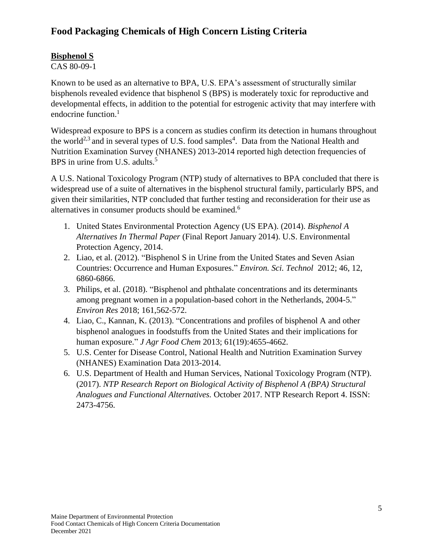### **Bisphenol S**

CAS 80-09-1

Known to be used as an alternative to BPA, U.S. EPA's assessment of structurally similar bisphenols revealed evidence that bisphenol S (BPS) is moderately toxic for reproductive and developmental effects, in addition to the potential for estrogenic activity that may interfere with endocrine function. 1

Widespread exposure to BPS is a concern as studies confirm its detection in humans throughout the world<sup>2,3</sup> and in several types of U.S. food samples<sup>4</sup>. Data from the National Health and Nutrition Examination Survey (NHANES) 2013-2014 reported high detection frequencies of BPS in urine from U.S. adults.<sup>5</sup>

A U.S. National Toxicology Program (NTP) study of alternatives to BPA concluded that there is widespread use of a suite of alternatives in the bisphenol structural family, particularly BPS, and given their similarities, NTP concluded that further testing and reconsideration for their use as alternatives in consumer products should be examined.<sup>6</sup>

- 1. United States Environmental Protection Agency (US EPA). (2014). *Bisphenol A Alternatives In Thermal Paper* (Final Report January 2014). U.S. Environmental Protection Agency, 2014.
- 2. Liao, et al. (2012). "Bisphenol S in Urine from the United States and Seven Asian Countries: Occurrence and Human Exposures." *Environ. Sci. Technol* 2012; 46, 12, 6860-6866.
- 3. Philips, et al. (2018). "Bisphenol and phthalate concentrations and its determinants among pregnant women in a population-based cohort in the Netherlands, 2004-5." *Environ Res* 2018; 161,562-572.
- 4. Liao, C., Kannan, K. (2013). "Concentrations and profiles of bisphenol A and other bisphenol analogues in foodstuffs from the United States and their implications for human exposure." *J Agr Food Chem* 2013; 61(19):4655-4662.
- 5. U.S. Center for Disease Control, National Health and Nutrition Examination Survey (NHANES) Examination Data 2013-2014.
- 6. U.S. Department of Health and Human Services, National Toxicology Program (NTP). (2017). *NTP Research Report on Biological Activity of Bisphenol A (BPA) Structural Analogues and Functional Alternatives.* October 2017. NTP Research Report 4. ISSN: 2473-4756.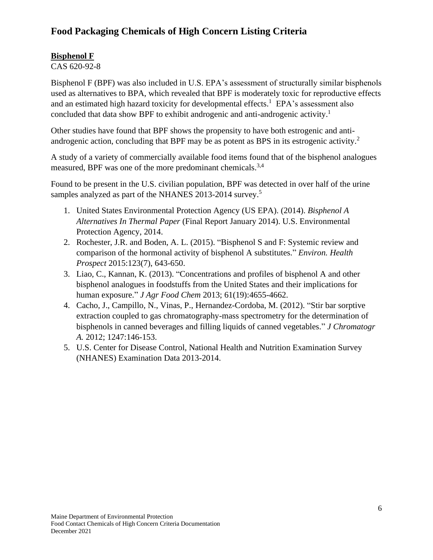### **Bisphenol F**

CAS 620-92-8

Bisphenol F (BPF) was also included in U.S. EPA's assessment of structurally similar bisphenols used as alternatives to BPA, which revealed that BPF is moderately toxic for reproductive effects and an estimated high hazard toxicity for developmental effects.<sup>1</sup> EPA's assessment also concluded that data show BPF to exhibit androgenic and anti-androgenic activity. 1

Other studies have found that BPF shows the propensity to have both estrogenic and antiandrogenic action, concluding that BPF may be as potent as BPS in its estrogenic activity.<sup>2</sup>

A study of a variety of commercially available food items found that of the bisphenol analogues measured, BPF was one of the more predominant chemicals.<sup>3,4</sup>

Found to be present in the U.S. civilian population, BPF was detected in over half of the urine samples analyzed as part of the NHANES 2013-2014 survey.<sup>5</sup>

- 1. United States Environmental Protection Agency (US EPA). (2014). *Bisphenol A Alternatives In Thermal Paper* (Final Report January 2014). U.S. Environmental Protection Agency, 2014.
- 2. Rochester, J.R. and Boden, A. L. (2015). "Bisphenol S and F: Systemic review and comparison of the hormonal activity of bisphenol A substitutes." *Environ. Health Prospect* 2015:123(7), 643-650.
- 3. Liao, C., Kannan, K. (2013). "Concentrations and profiles of bisphenol A and other bisphenol analogues in foodstuffs from the United States and their implications for human exposure." *J Agr Food Chem* 2013; 61(19):4655-4662.
- 4. Cacho, J., Campillo, N., Vinas, P., Hernandez-Cordoba, M. (2012). "Stir bar sorptive extraction coupled to gas chromatography-mass spectrometry for the determination of bisphenols in canned beverages and filling liquids of canned vegetables." *J Chromatogr A.* 2012; 1247:146-153.
- 5. U.S. Center for Disease Control, National Health and Nutrition Examination Survey (NHANES) Examination Data 2013-2014.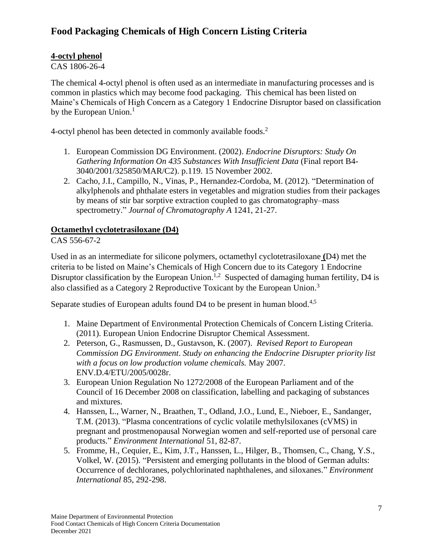### **4-octyl phenol**

CAS 1806-26-4

The chemical 4-octyl phenol is often used as an intermediate in manufacturing processes and is common in plastics which may become food packaging. This chemical has been listed on Maine's Chemicals of High Concern as a Category 1 Endocrine Disruptor based on classification by the European Union.<sup>1</sup>

4-octyl phenol has been detected in commonly available foods.<sup>2</sup>

- 1. European Commission DG Environment. (2002). *Endocrine Disruptors: Study On Gathering Information On 435 Substances With Insufficient Data* (Final report B4- 3040/2001/325850/MAR/C2). p.119. 15 November 2002.
- 2. Cacho, J.I., Campillo, N., Vinas, P., Hernandez-Cordoba, M. (2012). "Determination of alkylphenols and phthalate esters in vegetables and migration studies from their packages by means of stir bar sorptive extraction coupled to gas chromatography–mass spectrometry." *Journal of Chromatography A* 1241, 21-27.

#### **Octamethyl cyclotetrasiloxane (D4)**

CAS 556-67-2

Used in as an intermediate for silicone polymers, octamethyl cyclotetrasiloxane **(**D4) met the criteria to be listed on Maine's Chemicals of High Concern due to its Category 1 Endocrine Disruptor classification by the European Union.<sup>1,2</sup> Suspected of damaging human fertility, D4 is also classified as a Category 2 Reproductive Toxicant by the European Union.<sup>3</sup>

Separate studies of European adults found D4 to be present in human blood.<sup>4,5</sup>

- 1. Maine Department of Environmental Protection Chemicals of Concern Listing Criteria. (2011). European Union Endocrine Disruptor Chemical Assessment.
- 2. Peterson, G., Rasmussen, D., Gustavson, K. (2007). *Revised Report to European Commission DG Environment*. *Study on enhancing the Endocrine Disrupter priority list with a focus on low production volume chemicals.* May 2007. ENV.D.4/ETU/2005/0028r.
- 3. European Union Regulation No 1272/2008 of the European Parliament and of the Council of 16 December 2008 on classification, labelling and packaging of substances and mixtures.
- 4. Hanssen, L., Warner, N., Braathen, T., Odland, J.O., Lund, E., Nieboer, E., Sandanger, T.M. (2013). "Plasma concentrations of cyclic volatile methylsiloxanes (cVMS) in pregnant and prostmenopausal Norwegian women and self-reported use of personal care products." *Environment International* 51, 82-87.
- 5. Fromme, H., Cequier, E., Kim, J.T., Hanssen, L., Hilger, B., Thomsen, C., Chang, Y.S., Volkel, W. (2015). "Persistent and emerging pollutants in the blood of German adults: Occurrence of dechloranes, polychlorinated naphthalenes, and siloxanes." *Environment International* 85, 292-298.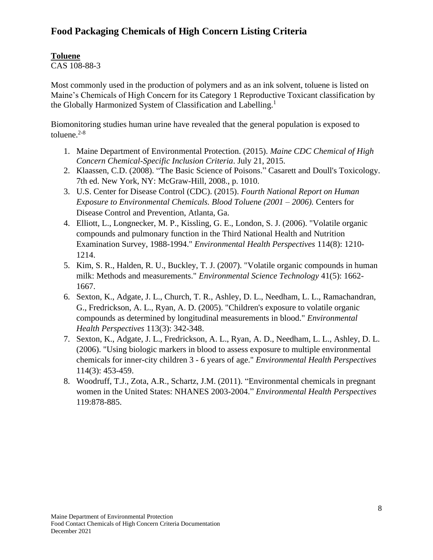## **Toluene**

CAS 108-88-3

Most commonly used in the production of polymers and as an ink solvent, toluene is listed on Maine's Chemicals of High Concern for its Category 1 Reproductive Toxicant classification by the Globally Harmonized System of Classification and Labelling.<sup>1</sup>

Biomonitoring studies human urine have revealed that the general population is exposed to toluene. 2-8

- 1. Maine Department of Environmental Protection. (2015). *Maine CDC Chemical of High Concern Chemical-Specific Inclusion Criteria*. July 21, 2015.
- 2. Klaassen, C.D. (2008). "The Basic Science of Poisons." Casarett and Doull's Toxicology. 7th ed. New York, NY: McGraw-Hill, 2008., p. 1010.
- 3. U.S. Center for Disease Control (CDC). (2015). *Fourth National Report on Human Exposure to Environmental Chemicals. Blood Toluene (2001 – 2006).* Centers for Disease Control and Prevention, Atlanta, Ga.
- 4. Elliott, L., Longnecker, M. P., Kissling, G. E., London, S. J. (2006). "Volatile organic compounds and pulmonary function in the Third National Health and Nutrition Examination Survey, 1988-1994." *Environmental Health Perspectives* 114(8): 1210- 1214.
- 5. Kim, S. R., Halden, R. U., Buckley, T. J. (2007). "Volatile organic compounds in human milk: Methods and measurements." *Environmental Science Technology* 41(5): 1662- 1667.
- 6. Sexton, K., Adgate, J. L., Church, T. R., Ashley, D. L., Needham, L. L., Ramachandran, G., Fredrickson, A. L., Ryan, A. D. (2005). "Children's exposure to volatile organic compounds as determined by longitudinal measurements in blood." *Environmental Health Perspectives* 113(3): 342-348.
- 7. Sexton, K., Adgate, J. L., Fredrickson, A. L., Ryan, A. D., Needham, L. L., Ashley, D. L. (2006). "Using biologic markers in blood to assess exposure to multiple environmental chemicals for inner-city children 3 - 6 years of age." *Environmental Health Perspectives* 114(3): 453-459.
- 8. Woodruff, T.J., Zota, A.R., Schartz, J.M. (2011). "Environmental chemicals in pregnant women in the United States: NHANES 2003-2004." *Environmental Health Perspectives* 119:878-885.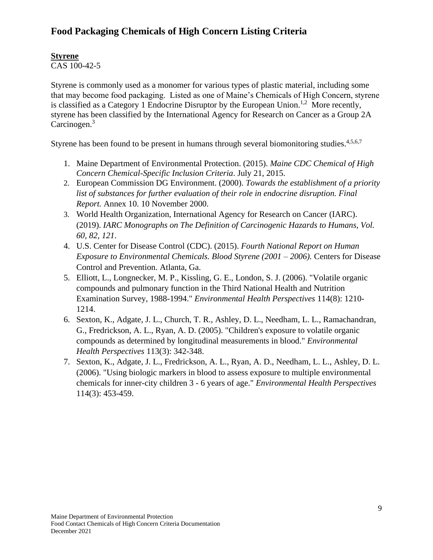## **Styrene**

CAS 100-42-5

Styrene is commonly used as a monomer for various types of plastic material, including some that may become food packaging. Listed as one of Maine's Chemicals of High Concern, styrene is classified as a Category 1 Endocrine Disruptor by the European Union.<sup>1,2</sup> More recently, styrene has been classified by the International Agency for Research on Cancer as a Group 2A Carcinogen.<sup>3</sup>

Styrene has been found to be present in humans through several biomonitoring studies.<sup>4,5,6,7</sup>

- 1. Maine Department of Environmental Protection. (2015). *Maine CDC Chemical of High Concern Chemical-Specific Inclusion Criteria*. July 21, 2015.
- 2. European Commission DG Environment. (2000). *Towards the establishment of a priority list of substances for further evaluation of their role in endocrine disruption. Final Report.* Annex 10. 10 November 2000.
- 3. World Health Organization, International Agency for Research on Cancer (IARC). (2019). *IARC Monographs on The Definition of Carcinogenic Hazards to Humans, Vol. 60, 82, 121*.
- 4. U.S. Center for Disease Control (CDC). (2015). *Fourth National Report on Human Exposure to Environmental Chemicals. Blood Styrene (2001 – 2006).* Centers for Disease Control and Prevention. Atlanta, Ga.
- 5. Elliott, L., Longnecker, M. P., Kissling, G. E., London, S. J. (2006). "Volatile organic compounds and pulmonary function in the Third National Health and Nutrition Examination Survey, 1988-1994." *Environmental Health Perspectives* 114(8): 1210- 1214.
- 6. Sexton, K., Adgate, J. L., Church, T. R., Ashley, D. L., Needham, L. L., Ramachandran, G., Fredrickson, A. L., Ryan, A. D. (2005). "Children's exposure to volatile organic compounds as determined by longitudinal measurements in blood." *Environmental Health Perspectives* 113(3): 342-348.
- 7. Sexton, K., Adgate, J. L., Fredrickson, A. L., Ryan, A. D., Needham, L. L., Ashley, D. L. (2006). "Using biologic markers in blood to assess exposure to multiple environmental chemicals for inner-city children 3 - 6 years of age." *Environmental Health Perspectives*  114(3): 453-459.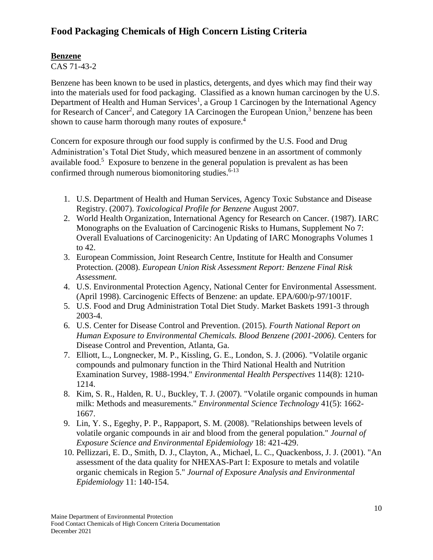#### **Benzene**

CAS 71-43-2

Benzene has been known to be used in plastics, detergents, and dyes which may find their way into the materials used for food packaging. Classified as a known human carcinogen by the U.S. Department of Health and Human Services<sup>1</sup>, a Group 1 Carcinogen by the International Agency for Research of Cancer<sup>2</sup>, and Category 1A Carcinogen the European Union,<sup>3</sup> benzene has been shown to cause harm thorough many routes of exposure.<sup>4</sup>

Concern for exposure through our food supply is confirmed by the U.S. Food and Drug Administration's Total Diet Study, which measured benzene in an assortment of commonly available food.<sup>5</sup> Exposure to benzene in the general population is prevalent as has been confirmed through numerous biomonitoring studies. $6-13$ 

- 1. U.S. Department of Health and Human Services, Agency Toxic Substance and Disease Registry. (2007). *Toxicological Profile for Benzene* August 2007.
- 2. World Health Organization, International Agency for Research on Cancer. (1987). IARC Monographs on the Evaluation of Carcinogenic Risks to Humans, Supplement No 7: Overall Evaluations of Carcinogenicity: An Updating of IARC Monographs Volumes 1 to 42.
- 3. European Commission, Joint Research Centre, Institute for Health and Consumer Protection. (2008). *European Union Risk Assessment Report: Benzene Final Risk Assessment.*
- 4. U.S. Environmental Protection Agency, National Center for Environmental Assessment. (April 1998). Carcinogenic Effects of Benzene: an update. EPA/600/p-97/1001F.
- 5. U.S. Food and Drug Administration Total Diet Study. Market Baskets 1991-3 through 2003-4.
- 6. U.S. Center for Disease Control and Prevention. (2015). *Fourth National Report on Human Exposure to Environmental Chemicals. Blood Benzene (2001-2006).* Centers for Disease Control and Prevention, Atlanta, Ga.
- 7. Elliott, L., Longnecker, M. P., Kissling, G. E., London, S. J. (2006). "Volatile organic compounds and pulmonary function in the Third National Health and Nutrition Examination Survey, 1988-1994." *Environmental Health Perspectives* 114(8): 1210- 1214.
- 8. Kim, S. R., Halden, R. U., Buckley, T. J. (2007). "Volatile organic compounds in human milk: Methods and measurements." *Environmental Science Technology* 41(5): 1662- 1667.
- 9. Lin, Y. S., Egeghy, P. P., Rappaport, S. M. (2008). "Relationships between levels of volatile organic compounds in air and blood from the general population." *Journal of Exposure Science and Environmental Epidemiology* 18: 421-429.
- 10. Pellizzari, E. D., Smith, D. J., Clayton, A., Michael, L. C., Quackenboss, J. J. (2001). "An assessment of the data quality for NHEXAS-Part I: Exposure to metals and volatile organic chemicals in Region 5." *Journal of Exposure Analysis and Environmental Epidemiology* 11: 140-154.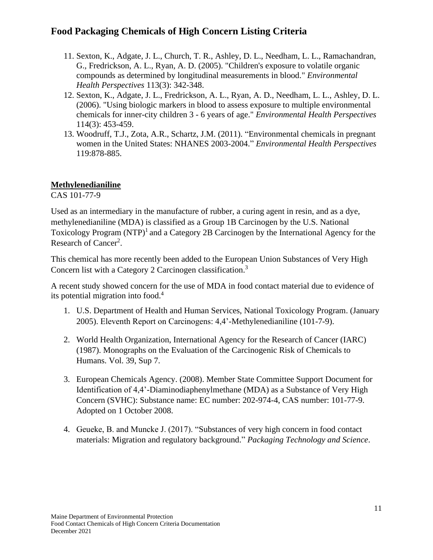- 11. Sexton, K., Adgate, J. L., Church, T. R., Ashley, D. L., Needham, L. L., Ramachandran, G., Fredrickson, A. L., Ryan, A. D. (2005). "Children's exposure to volatile organic compounds as determined by longitudinal measurements in blood." *Environmental Health Perspectives* 113(3): 342-348.
- 12. Sexton, K., Adgate, J. L., Fredrickson, A. L., Ryan, A. D., Needham, L. L., Ashley, D. L. (2006). "Using biologic markers in blood to assess exposure to multiple environmental chemicals for inner-city children 3 - 6 years of age." *Environmental Health Perspectives* 114(3): 453-459.
- 13. Woodruff, T.J., Zota, A.R., Schartz, J.M. (2011). "Environmental chemicals in pregnant women in the United States: NHANES 2003-2004." *Environmental Health Perspectives* 119:878-885.

#### **Methylenedianiline**

CAS 101-77-9

Used as an intermediary in the manufacture of rubber, a curing agent in resin, and as a dye, methylenedianiline (MDA) is classified as a Group 1B Carcinogen by the U.S. National Toxicology Program (NTP)<sup>1</sup> and a Category 2B Carcinogen by the International Agency for the Research of Cancer<sup>2</sup>.

This chemical has more recently been added to the European Union Substances of Very High Concern list with a Category 2 Carcinogen classification.<sup>3</sup>

A recent study showed concern for the use of MDA in food contact material due to evidence of its potential migration into food.<sup>4</sup>

- 1. U.S. Department of Health and Human Services, National Toxicology Program. (January 2005). Eleventh Report on Carcinogens: 4,4'-Methylenedianiline (101-7-9).
- 2. World Health Organization, International Agency for the Research of Cancer (IARC) (1987). Monographs on the Evaluation of the Carcinogenic Risk of Chemicals to Humans. Vol. 39, Sup 7.
- 3. European Chemicals Agency. (2008). Member State Committee Support Document for Identification of 4,4'-Diaminodiaphenylmethane (MDA) as a Substance of Very High Concern (SVHC): Substance name: EC number: 202-974-4, CAS number: 101-77-9. Adopted on 1 October 2008.
- 4. Geueke, B. and Muncke J. (2017). ["Substances of very high concern in food contact](http://onlinelibrary.wiley.com/doi/10.1002/pts.2288/full)  [materials: Migration and regulatory background."](http://onlinelibrary.wiley.com/doi/10.1002/pts.2288/full) *Packaging Technology and Science*.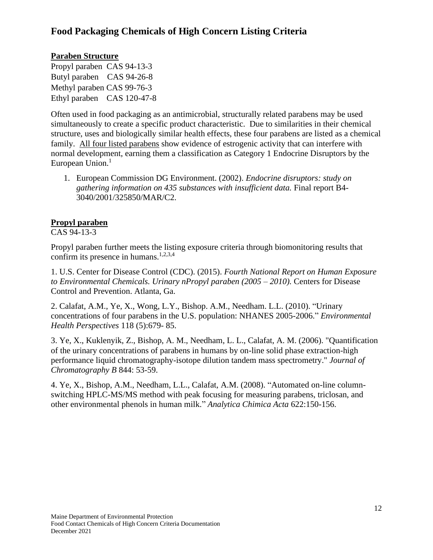#### **Paraben Structure**

Propyl paraben CAS 94-13-3 Butyl paraben CAS 94-26-8 Methyl paraben CAS 99-76-3 Ethyl paraben CAS 120-47-8

Often used in food packaging as an antimicrobial, structurally related parabens may be used simultaneously to create a specific product characteristic. Due to similarities in their chemical structure, uses and biologically similar health effects, these four parabens are listed as a chemical family. All four listed parabens show evidence of estrogenic activity that can interfere with normal development, earning them a classification as Category 1 Endocrine Disruptors by the European Union.<sup>1</sup>

1. European Commission DG Environment. (2002). *Endocrine disruptors: study on gathering information on 435 substances with insufficient data.* Final report B4- 3040/2001/325850/MAR/C2.

#### **Propyl paraben**

CAS 94-13-3

Propyl paraben further meets the listing exposure criteria through biomonitoring results that confirm its presence in humans.<sup>1,2,3,4</sup>

1. U.S. Center for Disease Control (CDC). (2015). *Fourth National Report on Human Exposure to Environmental Chemicals. Urinary nPropyl paraben (2005 – 2010).* Centers for Disease Control and Prevention. Atlanta, Ga.

2. Calafat, A.M., Ye, X., Wong, L.Y., Bishop. A.M., Needham. L.L. (2010). "Urinary concentrations of four parabens in the U.S. population: NHANES 2005-2006." *Environmental Health Perspectives* 118 (5):679- 85.

3. Ye, X., Kuklenyik, Z., Bishop, A. M., Needham, L. L., Calafat, A. M. (2006). "Quantification of the urinary concentrations of parabens in humans by on-line solid phase extraction-high performance liquid chromatography-isotope dilution tandem mass spectrometry." *Journal of Chromatography B* 844: 53-59.

4. Ye, X., Bishop, A.M., Needham, L.L., Calafat, A.M. (2008). "Automated on-line columnswitching HPLC-MS/MS method with peak focusing for measuring parabens, triclosan, and other environmental phenols in human milk." *Analytica Chimica Acta* 622:150-156.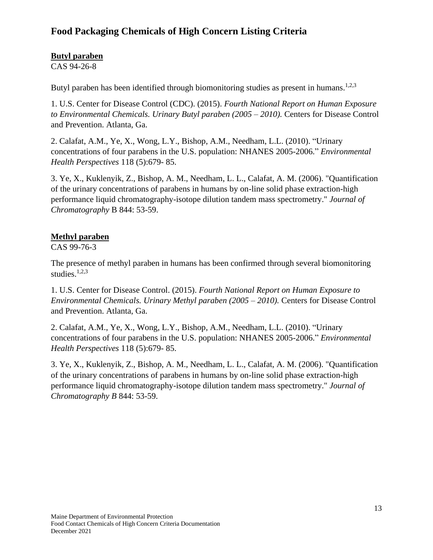#### **Butyl paraben**

CAS 94-26-8

Butyl paraben has been identified through biomonitoring studies as present in humans.<sup>1,2,3</sup>

1. U.S. Center for Disease Control (CDC). (2015). *Fourth National Report on Human Exposure to Environmental Chemicals. Urinary Butyl paraben (2005 – 2010).* Centers for Disease Control and Prevention. Atlanta, Ga.

2. Calafat, A.M., Ye, X., Wong, L.Y., Bishop, A.M., Needham, L.L. (2010). "Urinary concentrations of four parabens in the U.S. population: NHANES 2005-2006." *Environmental Health Perspectives* 118 (5):679- 85.

3. Ye, X., Kuklenyik, Z., Bishop, A. M., Needham, L. L., Calafat, A. M. (2006). "Quantification of the urinary concentrations of parabens in humans by on-line solid phase extraction-high performance liquid chromatography-isotope dilution tandem mass spectrometry." *Journal of Chromatography* B 844: 53-59.

#### **Methyl paraben**

CAS 99-76-3

The presence of methyl paraben in humans has been confirmed through several biomonitoring studies. $1,2,3$ 

1. U.S. Center for Disease Control. (2015). *Fourth National Report on Human Exposure to Environmental Chemicals. Urinary Methyl paraben (2005 – 2010).* Centers for Disease Control and Prevention. Atlanta, Ga.

2. Calafat, A.M., Ye, X., Wong, L.Y., Bishop, A.M., Needham, L.L. (2010). "Urinary concentrations of four parabens in the U.S. population: NHANES 2005-2006." *Environmental Health Perspectives* 118 (5):679- 85.

3. Ye, X., Kuklenyik, Z., Bishop, A. M., Needham, L. L., Calafat, A. M. (2006). "Quantification of the urinary concentrations of parabens in humans by on-line solid phase extraction-high performance liquid chromatography-isotope dilution tandem mass spectrometry." *Journal of Chromatography B* 844: 53-59.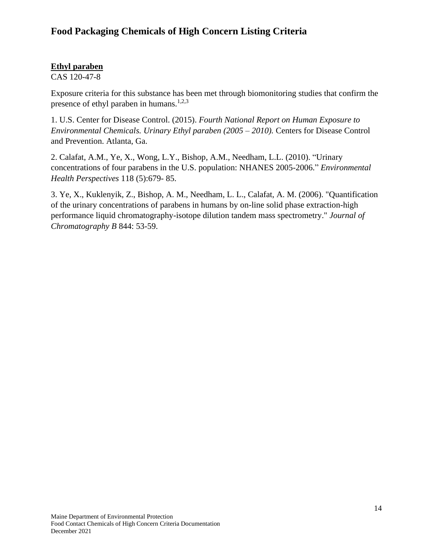#### **Ethyl paraben**

CAS 120-47-8

Exposure criteria for this substance has been met through biomonitoring studies that confirm the presence of ethyl paraben in humans.<sup>1,2,3</sup>

1. U.S. Center for Disease Control. (2015). *Fourth National Report on Human Exposure to Environmental Chemicals. Urinary Ethyl paraben (2005 – 2010).* Centers for Disease Control and Prevention. Atlanta, Ga.

2. Calafat, A.M., Ye, X., Wong, L.Y., Bishop, A.M., Needham, L.L. (2010). "Urinary concentrations of four parabens in the U.S. population: NHANES 2005-2006." *Environmental Health Perspectives* 118 (5):679- 85.

3. Ye, X., Kuklenyik, Z., Bishop, A. M., Needham, L. L., Calafat, A. M. (2006). "Quantification of the urinary concentrations of parabens in humans by on-line solid phase extraction-high performance liquid chromatography-isotope dilution tandem mass spectrometry." *Journal of Chromatography B* 844: 53-59.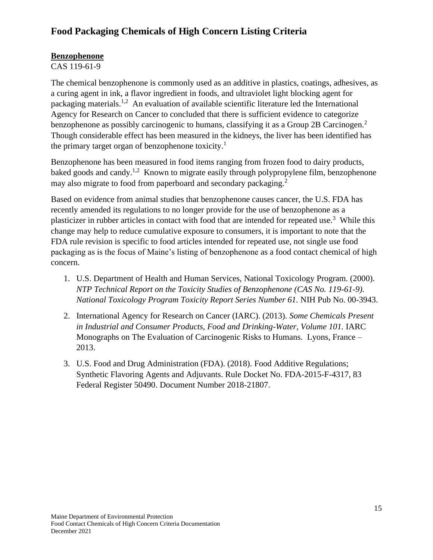#### **Benzophenone**

CAS 119-61-9

The chemical benzophenone is commonly used as an additive in plastics, coatings, adhesives, as a curing agent in ink, a flavor ingredient in foods, and ultraviolet light blocking agent for packaging materials.<sup>1,2</sup> An evaluation of available scientific literature led the International Agency for Research on Cancer to concluded that there is sufficient evidence to categorize benzophenone as possibly carcinogenic to humans, classifying it as a Group 2B Carcinogen.<sup>2</sup> Though considerable effect has been measured in the kidneys, the liver has been identified has the primary target organ of benzophenone toxicity.<sup>1</sup>

Benzophenone has been measured in food items ranging from frozen food to dairy products, baked goods and candy.<sup>1,2</sup> Known to migrate easily through polypropylene film, benzophenone may also migrate to food from paperboard and secondary packaging.<sup>2</sup>

Based on evidence from animal studies that benzophenone causes cancer, the U.S. FDA has recently amended its regulations to no longer provide for the use of benzophenone as a plasticizer in rubber articles in contact with food that are intended for repeated use.<sup>3</sup> While this change may help to reduce cumulative exposure to consumers, it is important to note that the FDA rule revision is specific to food articles intended for repeated use, not single use food packaging as is the focus of Maine's listing of benzophenone as a food contact chemical of high concern.

- 1. U.S. Department of Health and Human Services, National Toxicology Program. (2000). *NTP Technical Report on the Toxicity Studies of Benzophenone (CAS No. 119-61-9). National Toxicology Program Toxicity Report Series Number 61.* NIH Pub No. 00-3943.
- 2. International Agency for Research on Cancer (IARC). (2013). *Some Chemicals Present in Industrial and Consumer Products, Food and Drinking-Water, Volume 101.* IARC Monographs on The Evaluation of Carcinogenic Risks to Humans. Lyons, France – 2013.
- 3. U.S. Food and Drug Administration (FDA). (2018). Food Additive Regulations; Synthetic Flavoring Agents and Adjuvants. Rule Docket No. FDA-2015-F-4317, 83 Federal Register 50490. Document Number 2018-21807.